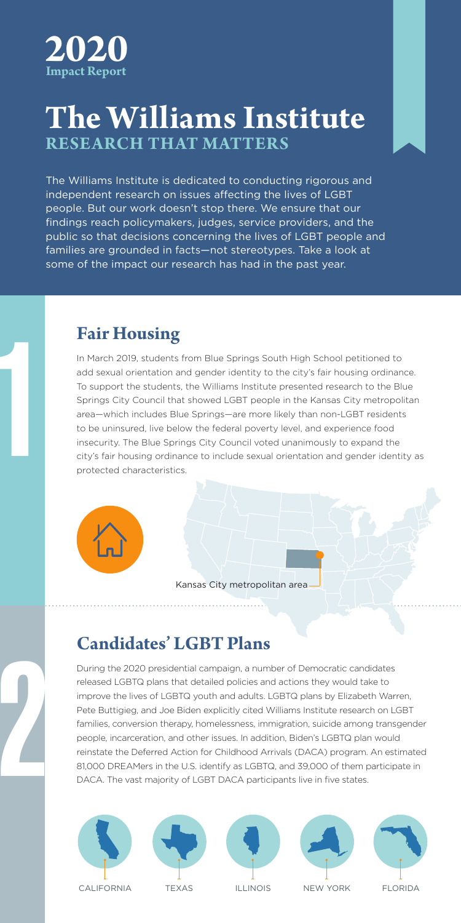

## The Williams Institute **The Williams Institute RESEARCH THAT MATTERS**

The Williams Institute is dedicated to conducting rigorous and **interpact and** The williams institute is dedicated to conducting rigorods and williams institute is dedicated to conducting rigorods and .<br>people. But our work doesn't stop there. We ensure that our findings reach policymakers, judges, service providers, and the metal control public so that decisions concerning the lives of LGBT people and families are grounded in facts—not stereotypes. Take a look at some of the impact our research has had in the past year.

The Williams Institute produces research with real-world relevance.

#### **Fair Housing**

In March 2019, students from Blue Springs South High School petitioned to add sexual orientation and gender identity to the city's fair housing ordinance. To support the students, the Williams Institute presented research to the Blue Springs City Council that showed LGBT people in the Kansas City metropolitan area—which includes Blue Springs—are more likely than non-LGBT residents to be uninsured, live below the federal poverty level, and experience food insecurity. The Blue Springs City Council voted unanimously to expand the city's fair housing ordinance to include sexual orientation and gender identity as protected characteristics.



Kansas City metropolitan area

# **Candidates' LGBT Plans**

During the 2020 presidential campaign, a number of Democratic candidates released LGBTQ plans that detailed policies and actions they would take to improve the lives of LGBTQ youth and adults. LGBTQ plans by Elizabeth Warren, Pete Buttigieg, and Joe Biden explicitly cited Williams Institute research on LGBT families, conversion therapy, homelessness, immigration, suicide among transgender people, incarceration, and other issues. In addition, Biden's LGBTQ plan would reinstate the Deferred Action for Childhood Arrivals (DACA) program. An estimated 81,000 DREAMers in the U.S. identify as LGBTQ, and 39,000 of them participate in DACA. The vast majority of LGBT DACA participants live in five states.



2

1